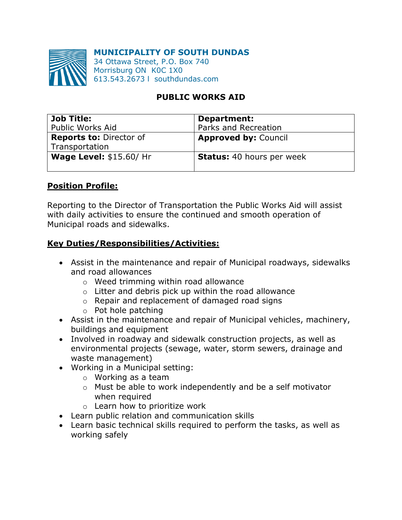#### **MUNICIPALITY OF SOUTH DUNDAS**



34 Ottawa Street, P.O. Box 740 Morrisburg ON K0C 1X0 613.543.2673 l southdundas.com

# **PUBLIC WORKS AID**

| <b>Job Title:</b>              | Department:                      |
|--------------------------------|----------------------------------|
| Public Works Aid               | Parks and Recreation             |
| <b>Reports to: Director of</b> | <b>Approved by: Council</b>      |
| Transportation                 |                                  |
| <b>Wage Level: \$15.60/ Hr</b> | <b>Status:</b> 40 hours per week |
|                                |                                  |

#### **Position Profile:**

Reporting to the Director of Transportation the Public Works Aid will assist with daily activities to ensure the continued and smooth operation of Municipal roads and sidewalks.

## **Key Duties/Responsibilities/Activities:**

- Assist in the maintenance and repair of Municipal roadways, sidewalks and road allowances
	- o Weed trimming within road allowance
	- $\circ$  Litter and debris pick up within the road allowance
	- o Repair and replacement of damaged road signs
	- o Pot hole patching
- Assist in the maintenance and repair of Municipal vehicles, machinery, buildings and equipment
- Involved in roadway and sidewalk construction projects, as well as environmental projects (sewage, water, storm sewers, drainage and waste management)
- Working in a Municipal setting:
	- o Working as a team
	- o Must be able to work independently and be a self motivator when required
	- o Learn how to prioritize work
- Learn public relation and communication skills
- Learn basic technical skills required to perform the tasks, as well as working safely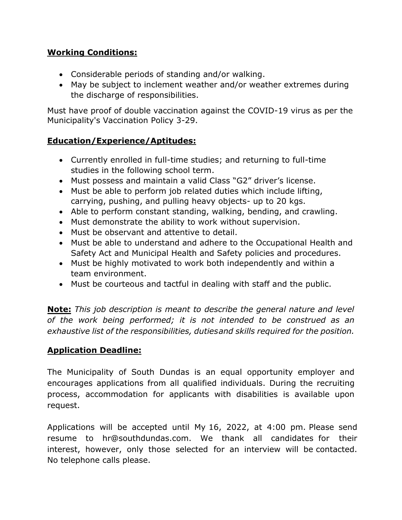# **Working Conditions:**

- Considerable periods of standing and/or walking.
- May be subject to inclement weather and/or weather extremes during the discharge of responsibilities.

Must have proof of double vaccination against the COVID-19 virus as per the Municipality's Vaccination Policy 3-29.

# **Education/Experience/Aptitudes:**

- Currently enrolled in full-time studies; and returning to full-time studies in the following school term.
- Must possess and maintain a valid Class "G2" driver's license.
- Must be able to perform job related duties which include lifting, carrying, pushing, and pulling heavy objects- up to 20 kgs.
- Able to perform constant standing, walking, bending, and crawling.
- Must demonstrate the ability to work without supervision.
- Must be observant and attentive to detail.
- Must be able to understand and adhere to the Occupational Health and Safety Act and Municipal Health and Safety policies and procedures.
- Must be highly motivated to work both independently and within a team environment.
- Must be courteous and tactful in dealing with staff and the public.

**Note:** *This job description is meant to describe the general nature and level of the work being performed; it is not intended to be construed as an exhaustive list of the responsibilities, dutiesand skills required for the position.* 

## **Application Deadline:**

The Municipality of South Dundas is an equal opportunity employer and encourages applications from all qualified individuals. During the recruiting process, accommodation for applicants with disabilities is available upon request.

Applications will be accepted until My 16, 2022, at 4:00 pm. Please send resume to hr@southdundas.com. We thank all candidates for their interest, however, only those selected for an interview will be contacted. No telephone calls please.